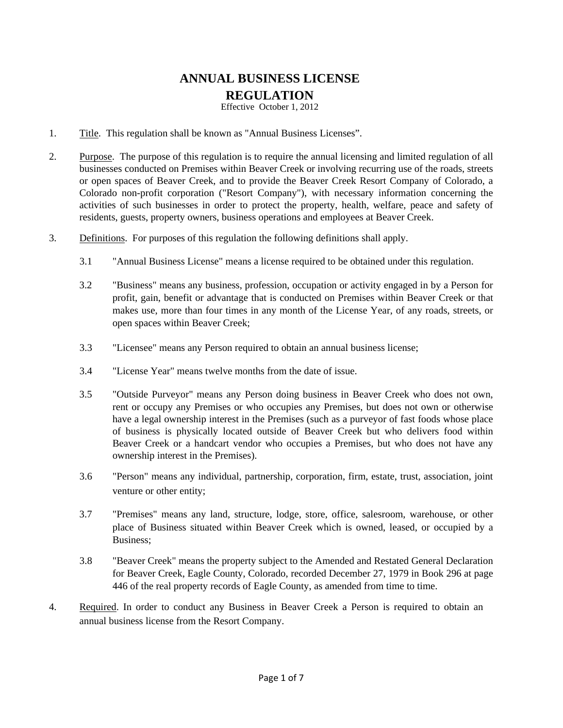## **ANNUAL BUSINESS LICENSE REGULATION**

Effective October 1, 2012

- 1. Title. This regulation shall be known as "Annual Business Licenses".
- 2. Purpose. The purpose of this regulation is to require the annual licensing and limited regulation of all businesses conducted on Premises within Beaver Creek or involving recurring use of the roads, streets or open spaces of Beaver Creek, and to provide the Beaver Creek Resort Company of Colorado, a Colorado non-profit corporation ("Resort Company"), with necessary information concerning the activities of such businesses in order to protect the property, health, welfare, peace and safety of residents, guests, property owners, business operations and employees at Beaver Creek.
- 3. Definitions. For purposes of this regulation the following definitions shall apply.
	- 3.1 "Annual Business License" means a license required to be obtained under this regulation.
	- 3.2 "Business" means any business, profession, occupation or activity engaged in by a Person for profit, gain, benefit or advantage that is conducted on Premises within Beaver Creek or that makes use, more than four times in any month of the License Year, of any roads, streets, or open spaces within Beaver Creek;
	- 3.3 "Licensee" means any Person required to obtain an annual business license;
	- 3.4 "License Year" means twelve months from the date of issue.
	- 3.5 "Outside Purveyor" means any Person doing business in Beaver Creek who does not own, rent or occupy any Premises or who occupies any Premises, but does not own or otherwise have a legal ownership interest in the Premises (such as a purveyor of fast foods whose place of business is physically located outside of Beaver Creek but who delivers food within Beaver Creek or a handcart vendor who occupies a Premises, but who does not have any ownership interest in the Premises).
	- 3.6 "Person" means any individual, partnership, corporation, firm, estate, trust, association, joint venture or other entity;
	- 3.7 "Premises" means any land, structure, lodge, store, office, salesroom, warehouse, or other place of Business situated within Beaver Creek which is owned, leased, or occupied by a Business;
	- 3.8 "Beaver Creek" means the property subject to the Amended and Restated General Declaration for Beaver Creek, Eagle County, Colorado, recorded December 27, 1979 in Book 296 at page 446 of the real property records of Eagle County, as amended from time to time.
- 4. Required. In order to conduct any Business in Beaver Creek a Person is required to obtain an annual business license from the Resort Company.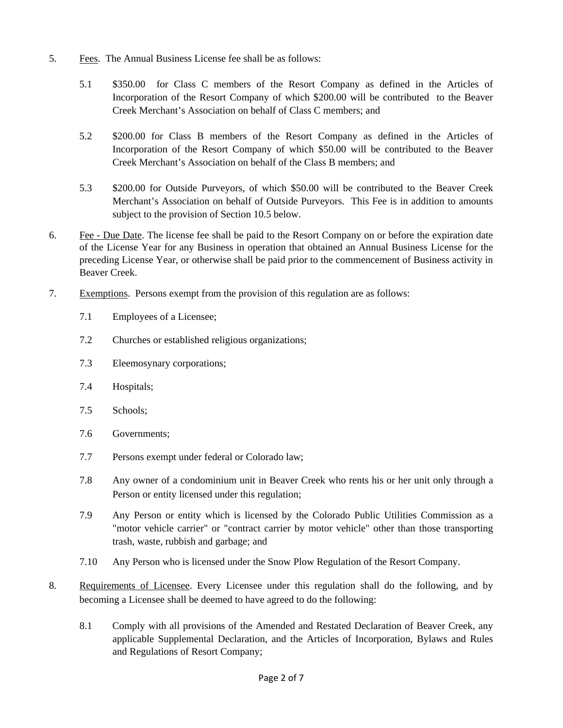- 5. Fees. The Annual Business License fee shall be as follows:
	- 5.1 \$350.00 for Class C members of the Resort Company as defined in the Articles of Incorporation of the Resort Company of which \$200.00 will be contributed to the Beaver Creek Merchant's Association on behalf of Class C members; and
	- 5.2 \$200.00 for Class B members of the Resort Company as defined in the Articles of Incorporation of the Resort Company of which \$50.00 will be contributed to the Beaver Creek Merchant's Association on behalf of the Class B members; and
	- 5.3 \$200.00 for Outside Purveyors, of which \$50.00 will be contributed to the Beaver Creek Merchant's Association on behalf of Outside Purveyors. This Fee is in addition to amounts subject to the provision of Section 10.5 below.
- 6. Fee Due Date. The license fee shall be paid to the Resort Company on or before the expiration date of the License Year for any Business in operation that obtained an Annual Business License for the preceding License Year, or otherwise shall be paid prior to the commencement of Business activity in Beaver Creek.
- 7. Exemptions. Persons exempt from the provision of this regulation are as follows:
	- 7.1 Employees of a Licensee;
	- 7.2 Churches or established religious organizations;
	- 7.3 Eleemosynary corporations;
	- 7.4 Hospitals;
	- 7.5 Schools;
	- 7.6 Governments;
	- 7.7 Persons exempt under federal or Colorado law;
	- 7.8 Any owner of a condominium unit in Beaver Creek who rents his or her unit only through a Person or entity licensed under this regulation;
	- 7.9 Any Person or entity which is licensed by the Colorado Public Utilities Commission as a "motor vehicle carrier" or "contract carrier by motor vehicle" other than those transporting trash, waste, rubbish and garbage; and
	- 7.10 Any Person who is licensed under the Snow Plow Regulation of the Resort Company.
- 8. Requirements of Licensee. Every Licensee under this regulation shall do the following, and by becoming a Licensee shall be deemed to have agreed to do the following:
	- 8.1 Comply with all provisions of the Amended and Restated Declaration of Beaver Creek, any applicable Supplemental Declaration, and the Articles of Incorporation, Bylaws and Rules and Regulations of Resort Company;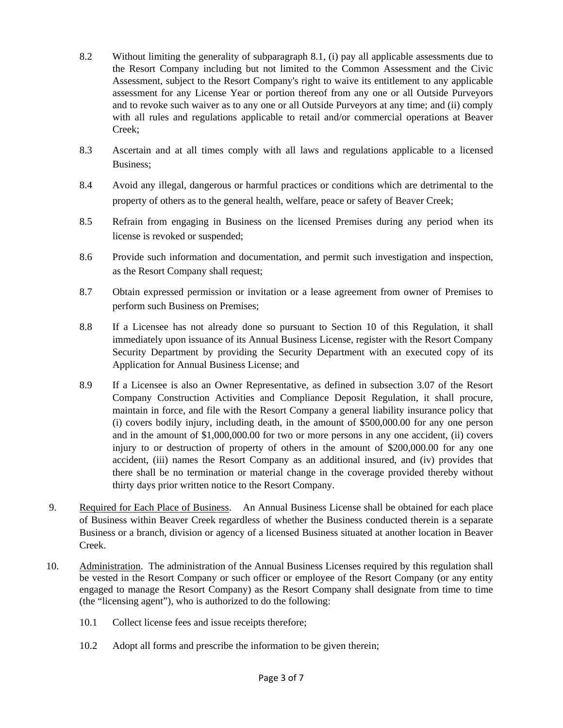- 8.2 Without limiting the generality of subparagraph 8.1, (i) pay all applicable assessments due to the Resort Company including but not limited to the Common Assessment and the Civic Assessment, subject to the Resort Company's right to waive its entitlement to any applicable assessment for any License Year or portion thereof from any one or all Outside Purveyors and to revoke such waiver as to any one or all Outside Purveyors at any time; and (ii) comply with all rules and regulations applicable to retail and/or commercial operations at Beaver Creek;
- 8.3 Ascertain and at all times comply with all laws and regulations applicable to a licensed Business;
- 8.4 Avoid any illegal, dangerous or harmful practices or conditions which are detrimental to the property of others as to the general health, welfare, peace or safety of Beaver Creek;
- 8.5 Refrain from engaging in Business on the licensed Premises during any period when its license is revoked or suspended;
- 8.6 Provide such information and documentation, and permit such investigation and inspection, as the Resort Company shall request;
- 8.7 Obtain expressed permission or invitation or a lease agreement from owner of Premises to perform such Business on Premises;
- 8.8 If a Licensee has not already done so pursuant to Section 10 of this Regulation, it shall immediately upon issuance of its Annual Business License, register with the Resort Company Security Department by providing the Security Department with an executed copy of its Application for Annual Business License; and
- 8.9 If a Licensee is also an Owner Representative, as defined in subsection 3.07 of the Resort Company Construction Activities and Compliance Deposit Regulation, it shall procure, maintain in force, and file with the Resort Company a general liability insurance policy that (i) covers bodily injury, including death, in the amount of \$500,000.00 for any one person and in the amount of \$1,000,000.00 for two or more persons in any one accident, (ii) covers injury to or destruction of property of others in the amount of \$200,000.00 for any one accident, (iii) names the Resort Company as an additional insured, and (iv) provides that there shall be no termination or material change in the coverage provided thereby without thirty days prior written notice to the Resort Company.
- 9. Required for Each Place of Business. An Annual Business License shall be obtained for each place of Business within Beaver Creek regardless of whether the Business conducted therein is a separate Business or a branch, division or agency of a licensed Business situated at another location in Beaver Creek.
- 10. Administration. The administration of the Annual Business Licenses required by this regulation shall be vested in the Resort Company or such officer or employee of the Resort Company (or any entity engaged to manage the Resort Company) as the Resort Company shall designate from time to time (the "licensing agent"), who is authorized to do the following:
	- 10.1 Collect license fees and issue receipts therefore;
	- 10.2 Adopt all forms and prescribe the information to be given therein;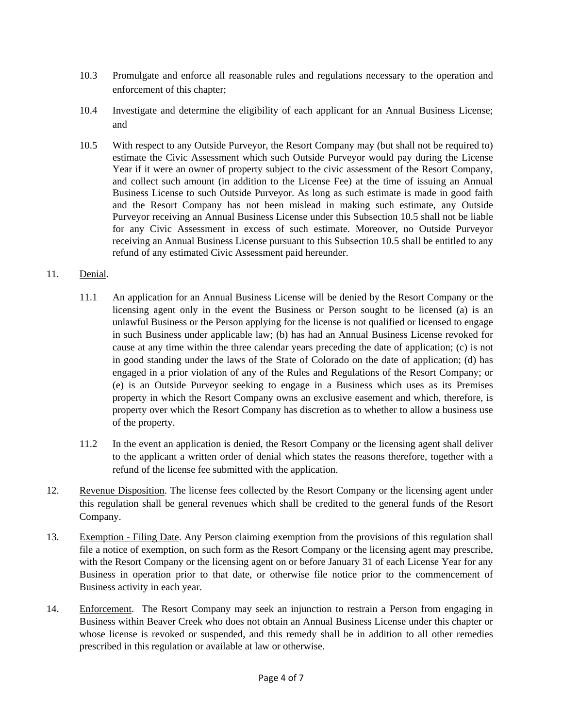- 10.3 Promulgate and enforce all reasonable rules and regulations necessary to the operation and enforcement of this chapter;
- 10.4 Investigate and determine the eligibility of each applicant for an Annual Business License; and
- 10.5 With respect to any Outside Purveyor, the Resort Company may (but shall not be required to) estimate the Civic Assessment which such Outside Purveyor would pay during the License Year if it were an owner of property subject to the civic assessment of the Resort Company, and collect such amount (in addition to the License Fee) at the time of issuing an Annual Business License to such Outside Purveyor. As long as such estimate is made in good faith and the Resort Company has not been mislead in making such estimate, any Outside Purveyor receiving an Annual Business License under this Subsection 10.5 shall not be liable for any Civic Assessment in excess of such estimate. Moreover, no Outside Purveyor receiving an Annual Business License pursuant to this Subsection 10.5 shall be entitled to any refund of any estimated Civic Assessment paid hereunder.

## 11. Denial.

- 11.1 An application for an Annual Business License will be denied by the Resort Company or the licensing agent only in the event the Business or Person sought to be licensed (a) is an unlawful Business or the Person applying for the license is not qualified or licensed to engage in such Business under applicable law; (b) has had an Annual Business License revoked for cause at any time within the three calendar years preceding the date of application; (c) is not in good standing under the laws of the State of Colorado on the date of application; (d) has engaged in a prior violation of any of the Rules and Regulations of the Resort Company; or (e) is an Outside Purveyor seeking to engage in a Business which uses as its Premises property in which the Resort Company owns an exclusive easement and which, therefore, is property over which the Resort Company has discretion as to whether to allow a business use of the property.
- 11.2 In the event an application is denied, the Resort Company or the licensing agent shall deliver to the applicant a written order of denial which states the reasons therefore, together with a refund of the license fee submitted with the application.
- 12. Revenue Disposition. The license fees collected by the Resort Company or the licensing agent under this regulation shall be general revenues which shall be credited to the general funds of the Resort Company.
- 13. Exemption Filing Date. Any Person claiming exemption from the provisions of this regulation shall file a notice of exemption, on such form as the Resort Company or the licensing agent may prescribe, with the Resort Company or the licensing agent on or before January 31 of each License Year for any Business in operation prior to that date, or otherwise file notice prior to the commencement of Business activity in each year.
- 14. Enforcement. The Resort Company may seek an injunction to restrain a Person from engaging in Business within Beaver Creek who does not obtain an Annual Business License under this chapter or whose license is revoked or suspended, and this remedy shall be in addition to all other remedies prescribed in this regulation or available at law or otherwise.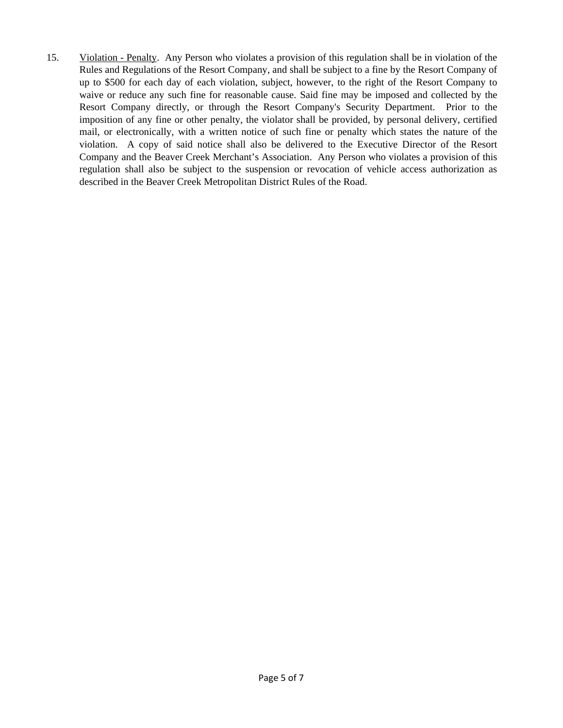15. Violation - Penalty. Any Person who violates a provision of this regulation shall be in violation of the Rules and Regulations of the Resort Company, and shall be subject to a fine by the Resort Company of up to \$500 for each day of each violation, subject, however, to the right of the Resort Company to waive or reduce any such fine for reasonable cause. Said fine may be imposed and collected by the Resort Company directly, or through the Resort Company's Security Department. Prior to the imposition of any fine or other penalty, the violator shall be provided, by personal delivery, certified mail, or electronically, with a written notice of such fine or penalty which states the nature of the violation. A copy of said notice shall also be delivered to the Executive Director of the Resort Company and the Beaver Creek Merchant's Association. Any Person who violates a provision of this regulation shall also be subject to the suspension or revocation of vehicle access authorization as described in the Beaver Creek Metropolitan District Rules of the Road.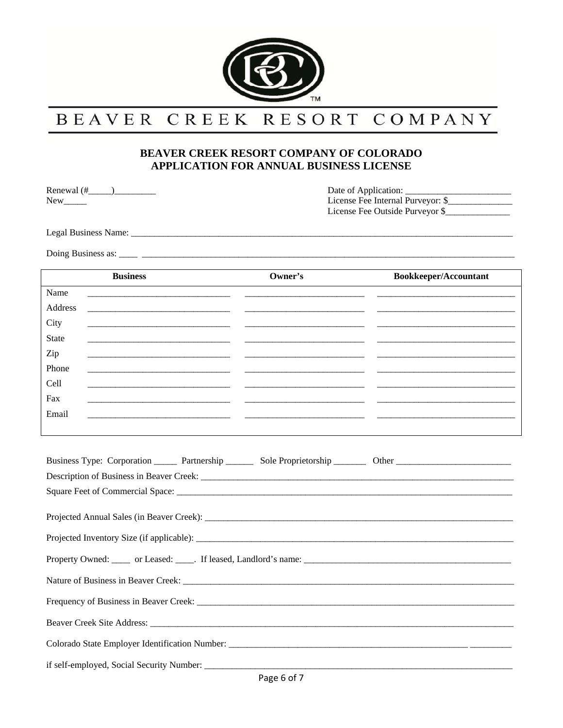

## BEAVER CREEK RESORT COMPANY

## BEAVER CREEK RESORT COMPANY OF COLORADO APPLICATION FOR ANNUAL BUSINESS LICENSE

 ${\it New}\_\!\_\!\_$ 

Date of Application: License Fee Internal Purveyor: \$ License Fee Outside Purveyor \$

| <b>Business</b>                                                                                                                                                                                                                | Owner's                                                                                                               | Bookkeeper/Accountant                                                                                                 |
|--------------------------------------------------------------------------------------------------------------------------------------------------------------------------------------------------------------------------------|-----------------------------------------------------------------------------------------------------------------------|-----------------------------------------------------------------------------------------------------------------------|
| Name<br><u> 1989 - Johann Barnett, fransk politiker (d. 1989)</u>                                                                                                                                                              |                                                                                                                       |                                                                                                                       |
| Address                                                                                                                                                                                                                        |                                                                                                                       |                                                                                                                       |
| City<br><u> 1989 - John Stein, Amerikaansk politiker (* 1908)</u>                                                                                                                                                              |                                                                                                                       |                                                                                                                       |
| State<br><u> 1989 - Johann Stein, marwolaethau a bhann an t-Amhair an t-Amhair an t-Amhair an t-Amhair an t-Amhair an t-A</u>                                                                                                  | <u> 1989 - Johann Barbara, martin amerikan basar da</u>                                                               |                                                                                                                       |
| Zip                                                                                                                                                                                                                            |                                                                                                                       |                                                                                                                       |
| Phone<br><u> 1989 - Johann Barbara, martin amerikan basar dan berasal dalam basa dalam basar dalam basar dalam basa dalam</u>                                                                                                  |                                                                                                                       |                                                                                                                       |
| Cell                                                                                                                                                                                                                           |                                                                                                                       | <u> 1980 - Johann Barbara, martin a</u>                                                                               |
| Fax                                                                                                                                                                                                                            | <u> 1989 - Johann Barbara, martin amerikan basal dan berasal dalam basal dalam basal dalam basal dalam basal dala</u> | <u> 1989 - Johann Barbara, martin amerikan basal dan berasal dan berasal dalam basal dalam basal dalam basal dala</u> |
| Email                                                                                                                                                                                                                          | <u> 1989 - Johann Stein, mars an deus an deus Amerikaanse komme van de Fryske komme en oantale</u>                    | <u> 1989 - Johann Barbara, martin amerikan basal dan berasal dan berasal dalam basal dalam basal dalam basal dala</u> |
|                                                                                                                                                                                                                                |                                                                                                                       |                                                                                                                       |
|                                                                                                                                                                                                                                |                                                                                                                       |                                                                                                                       |
| Business Type: Corporation _______ Partnership ________ Sole Proprietorship _________ Other __________________                                                                                                                 |                                                                                                                       |                                                                                                                       |
|                                                                                                                                                                                                                                |                                                                                                                       |                                                                                                                       |
|                                                                                                                                                                                                                                |                                                                                                                       |                                                                                                                       |
|                                                                                                                                                                                                                                |                                                                                                                       |                                                                                                                       |
|                                                                                                                                                                                                                                |                                                                                                                       |                                                                                                                       |
|                                                                                                                                                                                                                                |                                                                                                                       |                                                                                                                       |
|                                                                                                                                                                                                                                |                                                                                                                       |                                                                                                                       |
|                                                                                                                                                                                                                                |                                                                                                                       |                                                                                                                       |
| Beaver Creek Site Address: No. 1996. The Second Second Second Second Second Second Second Second Second Second Second Second Second Second Second Second Second Second Second Second Second Second Second Second Second Second |                                                                                                                       |                                                                                                                       |
|                                                                                                                                                                                                                                |                                                                                                                       |                                                                                                                       |
| if self-employed, Social Security Number:                                                                                                                                                                                      |                                                                                                                       |                                                                                                                       |